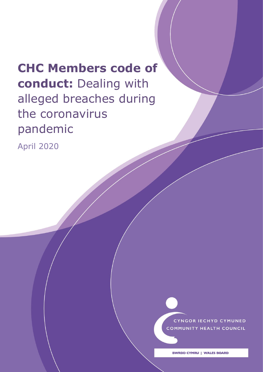# **CHC Members code of conduct:** Dealing with alleged breaches during the coronavirus pandemic

Dealing with alleged breaches of the Member's Code of Conduct

April 2020

CYNGOR IECHYD CYMUNED **COMMUNITY HEALTH COUNCIL** 

1

Agreed by BCHCW April 2020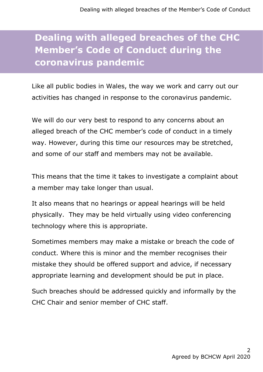# **Dealing with alleged breaches of the CHC Member's Code of Conduct during the coronavirus pandemic**

Like all public bodies in Wales, the way we work and carry out our activities has changed in response to the coronavirus pandemic.

We will do our very best to respond to any concerns about an alleged breach of the CHC member's code of conduct in a timely way. However, during this time our resources may be stretched, and some of our staff and members may not be available.

This means that the time it takes to investigate a complaint about a member may take longer than usual.

It also means that no hearings or appeal hearings will be held physically. They may be held virtually using video conferencing technology where this is appropriate.

Sometimes members may make a mistake or breach the code of conduct. Where this is minor and the member recognises their mistake they should be offered support and advice, if necessary appropriate learning and development should be put in place.

Such breaches should be addressed quickly and informally by the CHC Chair and senior member of CHC staff.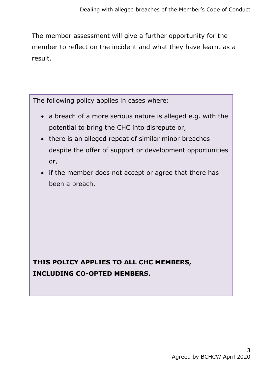The member assessment will give a further opportunity for the member to reflect on the incident and what they have learnt as a result.

The following policy applies in cases where:

- a breach of a more serious nature is alleged e.g. with the potential to bring the CHC into disrepute or,
- there is an alleged repeat of similar minor breaches despite the offer of support or development opportunities or,
- if the member does not accept or agree that there has been a breach.

**THIS POLICY APPLIES TO ALL CHC MEMBERS, INCLUDING CO-OPTED MEMBERS.**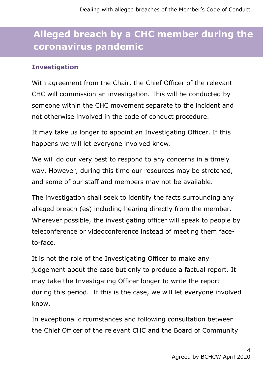# **Alleged breach by a CHC member during the coronavirus pandemic**

#### **Investigation**

With agreement from the Chair, the Chief Officer of the relevant CHC will commission an investigation. This will be conducted by someone within the CHC movement separate to the incident and not otherwise involved in the code of conduct procedure.

It may take us longer to appoint an Investigating Officer. If this happens we will let everyone involved know.

We will do our very best to respond to any concerns in a timely way. However, during this time our resources may be stretched, and some of our staff and members may not be available.

The investigation shall seek to identify the facts surrounding any alleged breach (es) including hearing directly from the member. Wherever possible, the investigating officer will speak to people by teleconference or videoconference instead of meeting them faceto-face.

It is not the role of the Investigating Officer to make any judgement about the case but only to produce a factual report. It may take the Investigating Officer longer to write the report during this period. If this is the case, we will let everyone involved know.

In exceptional circumstances and following consultation between the Chief Officer of the relevant CHC and the Board of Community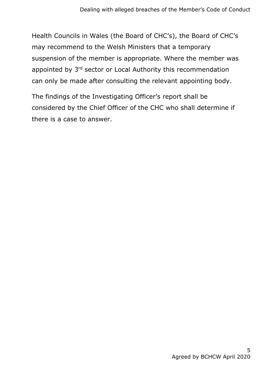Health Councils in Wales (the Board of CHC's), the Board of CHC's may recommend to the Welsh Ministers that a temporary suspension of the member is appropriate. Where the member was appointed by 3<sup>rd</sup> sector or Local Authority this recommendation can only be made after consulting the relevant appointing body.

The findings of the Investigating Officer's report shall be considered by the Chief Officer of the CHC who shall determine if there is a case to answer.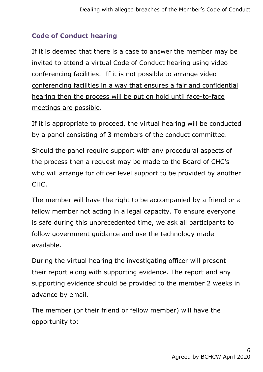## **Code of Conduct hearing**

If it is deemed that there is a case to answer the member may be invited to attend a virtual Code of Conduct hearing using video conferencing facilities. If it is not possible to arrange video conferencing facilities in a way that ensures a fair and confidential hearing then the process will be put on hold until face-to-face meetings are possible.

If it is appropriate to proceed, the virtual hearing will be conducted by a panel consisting of 3 members of the conduct committee.

Should the panel require support with any procedural aspects of the process then a request may be made to the Board of CHC's who will arrange for officer level support to be provided by another CHC.

The member will have the right to be accompanied by a friend or a fellow member not acting in a legal capacity. To ensure everyone is safe during this unprecedented time, we ask all participants to follow government guidance and use the technology made available.

During the virtual hearing the investigating officer will present their report along with supporting evidence. The report and any supporting evidence should be provided to the member 2 weeks in advance by email.

The member (or their friend or fellow member) will have the opportunity to: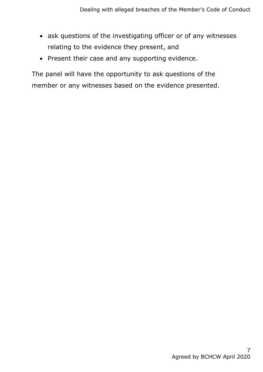- ask questions of the investigating officer or of any witnesses relating to the evidence they present, and
- Present their case and any supporting evidence.

The panel will have the opportunity to ask questions of the member or any witnesses based on the evidence presented.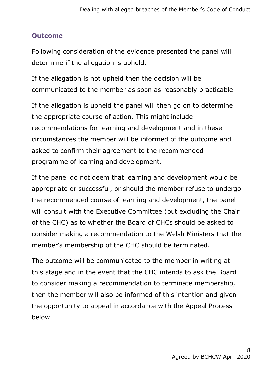#### **Outcome**

Following consideration of the evidence presented the panel will determine if the allegation is upheld.

If the allegation is not upheld then the decision will be communicated to the member as soon as reasonably practicable.

If the allegation is upheld the panel will then go on to determine the appropriate course of action. This might include recommendations for learning and development and in these circumstances the member will be informed of the outcome and asked to confirm their agreement to the recommended programme of learning and development.

If the panel do not deem that learning and development would be appropriate or successful, or should the member refuse to undergo the recommended course of learning and development, the panel will consult with the Executive Committee (but excluding the Chair of the CHC) as to whether the Board of CHCs should be asked to consider making a recommendation to the Welsh Ministers that the member's membership of the CHC should be terminated.

The outcome will be communicated to the member in writing at this stage and in the event that the CHC intends to ask the Board to consider making a recommendation to terminate membership, then the member will also be informed of this intention and given the opportunity to appeal in accordance with the Appeal Process below.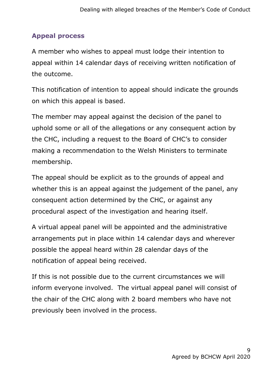### **Appeal process**

A member who wishes to appeal must lodge their intention to appeal within 14 calendar days of receiving written notification of the outcome.

This notification of intention to appeal should indicate the grounds on which this appeal is based.

The member may appeal against the decision of the panel to uphold some or all of the allegations or any consequent action by the CHC, including a request to the Board of CHC's to consider making a recommendation to the Welsh Ministers to terminate membership.

The appeal should be explicit as to the grounds of appeal and whether this is an appeal against the judgement of the panel, any consequent action determined by the CHC, or against any procedural aspect of the investigation and hearing itself.

A virtual appeal panel will be appointed and the administrative arrangements put in place within 14 calendar days and wherever possible the appeal heard within 28 calendar days of the notification of appeal being received.

If this is not possible due to the current circumstances we will inform everyone involved. The virtual appeal panel will consist of the chair of the CHC along with 2 board members who have not previously been involved in the process.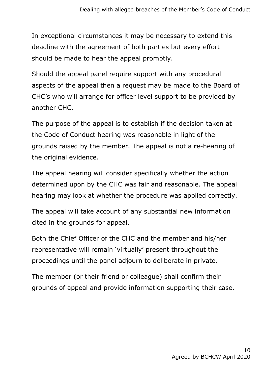In exceptional circumstances it may be necessary to extend this deadline with the agreement of both parties but every effort should be made to hear the appeal promptly.

Should the appeal panel require support with any procedural aspects of the appeal then a request may be made to the Board of CHC's who will arrange for officer level support to be provided by another CHC.

The purpose of the appeal is to establish if the decision taken at the Code of Conduct hearing was reasonable in light of the grounds raised by the member. The appeal is not a re-hearing of the original evidence.

The appeal hearing will consider specifically whether the action determined upon by the CHC was fair and reasonable. The appeal hearing may look at whether the procedure was applied correctly.

The appeal will take account of any substantial new information cited in the grounds for appeal.

Both the Chief Officer of the CHC and the member and his/her representative will remain 'virtually' present throughout the proceedings until the panel adjourn to deliberate in private.

The member (or their friend or colleague) shall confirm their grounds of appeal and provide information supporting their case.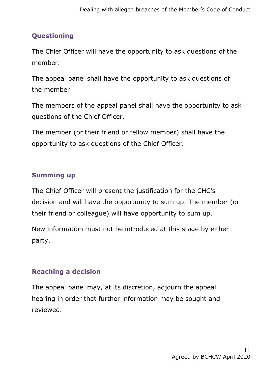# **Questioning**

The Chief Officer will have the opportunity to ask questions of the member.

The appeal panel shall have the opportunity to ask questions of the member.

The members of the appeal panel shall have the opportunity to ask questions of the Chief Officer.

The member (or their friend or fellow member) shall have the opportunity to ask questions of the Chief Officer.

# **Summing up**

The Chief Officer will present the justification for the CHC's decision and will have the opportunity to sum up. The member (or their friend or colleague) will have opportunity to sum up.

New information must not be introduced at this stage by either party.

### **Reaching a decision**

The appeal panel may, at its discretion, adjourn the appeal hearing in order that further information may be sought and reviewed.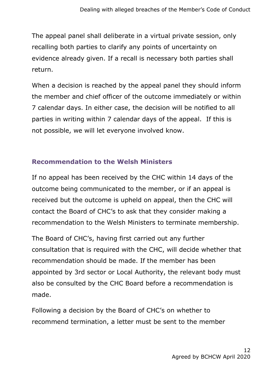The appeal panel shall deliberate in a virtual private session, only recalling both parties to clarify any points of uncertainty on evidence already given. If a recall is necessary both parties shall return.

When a decision is reached by the appeal panel they should inform the member and chief officer of the outcome immediately or within 7 calendar days. In either case, the decision will be notified to all parties in writing within 7 calendar days of the appeal. If this is not possible, we will let everyone involved know.

#### **Recommendation to the Welsh Ministers**

If no appeal has been received by the CHC within 14 days of the outcome being communicated to the member, or if an appeal is received but the outcome is upheld on appeal, then the CHC will contact the Board of CHC's to ask that they consider making a recommendation to the Welsh Ministers to terminate membership.

The Board of CHC's, having first carried out any further consultation that is required with the CHC, will decide whether that recommendation should be made. If the member has been appointed by 3rd sector or Local Authority, the relevant body must also be consulted by the CHC Board before a recommendation is made.

Following a decision by the Board of CHC's on whether to recommend termination, a letter must be sent to the member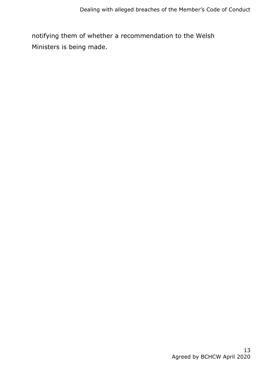notifying them of whether a recommendation to the Welsh Ministers is being made.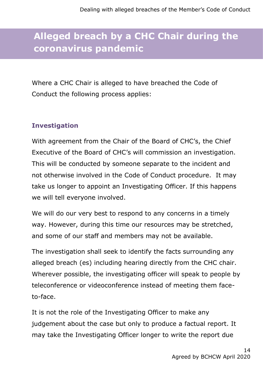# **Alleged breach by a CHC Chair during the coronavirus pandemic**

Where a CHC Chair is alleged to have breached the Code of Conduct the following process applies:

### **Investigation**

With agreement from the Chair of the Board of CHC's, the Chief Executive of the Board of CHC's will commission an investigation. This will be conducted by someone separate to the incident and not otherwise involved in the Code of Conduct procedure. It may take us longer to appoint an Investigating Officer. If this happens we will tell everyone involved.

We will do our very best to respond to any concerns in a timely way. However, during this time our resources may be stretched, and some of our staff and members may not be available.

The investigation shall seek to identify the facts surrounding any alleged breach (es) including hearing directly from the CHC chair. Wherever possible, the investigating officer will speak to people by teleconference or videoconference instead of meeting them faceto-face.

It is not the role of the Investigating Officer to make any judgement about the case but only to produce a factual report. It may take the Investigating Officer longer to write the report due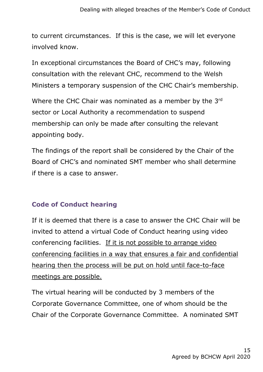to current circumstances. If this is the case, we will let everyone involved know.

In exceptional circumstances the Board of CHC's may, following consultation with the relevant CHC, recommend to the Welsh Ministers a temporary suspension of the CHC Chair's membership.

Where the CHC Chair was nominated as a member by the 3rd sector or Local Authority a recommendation to suspend membership can only be made after consulting the relevant appointing body.

The findings of the report shall be considered by the Chair of the Board of CHC's and nominated SMT member who shall determine if there is a case to answer.

#### **Code of Conduct hearing**

If it is deemed that there is a case to answer the CHC Chair will be invited to attend a virtual Code of Conduct hearing using video conferencing facilities. If it is not possible to arrange video conferencing facilities in a way that ensures a fair and confidential hearing then the process will be put on hold until face-to-face meetings are possible.

The virtual hearing will be conducted by 3 members of the Corporate Governance Committee, one of whom should be the Chair of the Corporate Governance Committee. A nominated SMT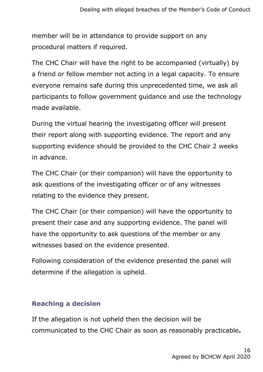member will be in attendance to provide support on any procedural matters if required.

The CHC Chair will have the right to be accompanied (virtually) by a friend or fellow member not acting in a legal capacity. To ensure everyone remains safe during this unprecedented time, we ask all participants to follow government guidance and use the technology made available.

During the virtual hearing the investigating officer will present their report along with supporting evidence. The report and any supporting evidence should be provided to the CHC Chair 2 weeks in advance.

The CHC Chair (or their companion) will have the opportunity to ask questions of the investigating officer or of any witnesses relating to the evidence they present.

The CHC Chair (or their companion) will have the opportunity to present their case and any supporting evidence. The panel will have the opportunity to ask questions of the member or any witnesses based on the evidence presented.

Following consideration of the evidence presented the panel will determine if the allegation is upheld.

#### **Reaching a decision**

If the allegation is not upheld then the decision will be communicated to the CHC Chair as soon as reasonably practicable**.**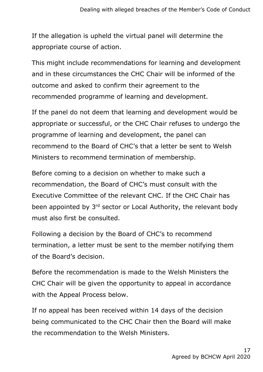If the allegation is upheld the virtual panel will determine the appropriate course of action.

This might include recommendations for learning and development and in these circumstances the CHC Chair will be informed of the outcome and asked to confirm their agreement to the recommended programme of learning and development.

If the panel do not deem that learning and development would be appropriate or successful, or the CHC Chair refuses to undergo the programme of learning and development, the panel can recommend to the Board of CHC's that a letter be sent to Welsh Ministers to recommend termination of membership.

Before coming to a decision on whether to make such a recommendation, the Board of CHC's must consult with the Executive Committee of the relevant CHC. If the CHC Chair has been appointed by 3<sup>rd</sup> sector or Local Authority, the relevant body must also first be consulted.

Following a decision by the Board of CHC's to recommend termination, a letter must be sent to the member notifying them of the Board's decision.

Before the recommendation is made to the Welsh Ministers the CHC Chair will be given the opportunity to appeal in accordance with the Appeal Process below.

If no appeal has been received within 14 days of the decision being communicated to the CHC Chair then the Board will make the recommendation to the Welsh Ministers.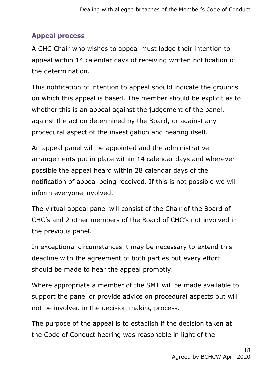## **Appeal process**

A CHC Chair who wishes to appeal must lodge their intention to appeal within 14 calendar days of receiving written notification of the determination.

This notification of intention to appeal should indicate the grounds on which this appeal is based. The member should be explicit as to whether this is an appeal against the judgement of the panel, against the action determined by the Board, or against any procedural aspect of the investigation and hearing itself.

An appeal panel will be appointed and the administrative arrangements put in place within 14 calendar days and wherever possible the appeal heard within 28 calendar days of the notification of appeal being received. If this is not possible we will inform everyone involved.

The virtual appeal panel will consist of the Chair of the Board of CHC's and 2 other members of the Board of CHC's not involved in the previous panel.

In exceptional circumstances it may be necessary to extend this deadline with the agreement of both parties but every effort should be made to hear the appeal promptly.

Where appropriate a member of the SMT will be made available to support the panel or provide advice on procedural aspects but will not be involved in the decision making process.

The purpose of the appeal is to establish if the decision taken at the Code of Conduct hearing was reasonable in light of the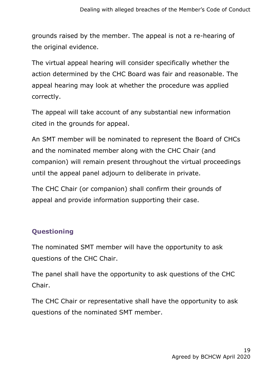grounds raised by the member. The appeal is not a re-hearing of the original evidence.

The virtual appeal hearing will consider specifically whether the action determined by the CHC Board was fair and reasonable. The appeal hearing may look at whether the procedure was applied correctly.

The appeal will take account of any substantial new information cited in the grounds for appeal.

An SMT member will be nominated to represent the Board of CHCs and the nominated member along with the CHC Chair (and companion) will remain present throughout the virtual proceedings until the appeal panel adjourn to deliberate in private.

The CHC Chair (or companion) shall confirm their grounds of appeal and provide information supporting their case.

# **Questioning**

The nominated SMT member will have the opportunity to ask questions of the CHC Chair.

The panel shall have the opportunity to ask questions of the CHC Chair.

The CHC Chair or representative shall have the opportunity to ask questions of the nominated SMT member.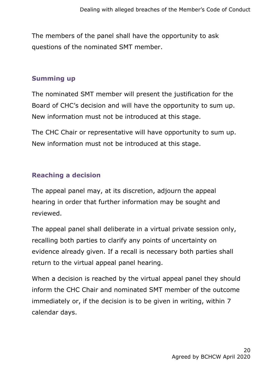The members of the panel shall have the opportunity to ask questions of the nominated SMT member.

#### **Summing up**

The nominated SMT member will present the justification for the Board of CHC's decision and will have the opportunity to sum up. New information must not be introduced at this stage.

The CHC Chair or representative will have opportunity to sum up. New information must not be introduced at this stage.

#### **Reaching a decision**

The appeal panel may, at its discretion, adjourn the appeal hearing in order that further information may be sought and reviewed.

The appeal panel shall deliberate in a virtual private session only, recalling both parties to clarify any points of uncertainty on evidence already given. If a recall is necessary both parties shall return to the virtual appeal panel hearing.

When a decision is reached by the virtual appeal panel they should inform the CHC Chair and nominated SMT member of the outcome immediately or, if the decision is to be given in writing, within 7 calendar days.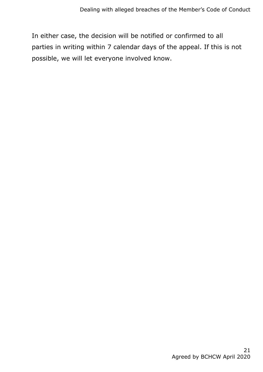In either case, the decision will be notified or confirmed to all parties in writing within 7 calendar days of the appeal. If this is not possible, we will let everyone involved know.